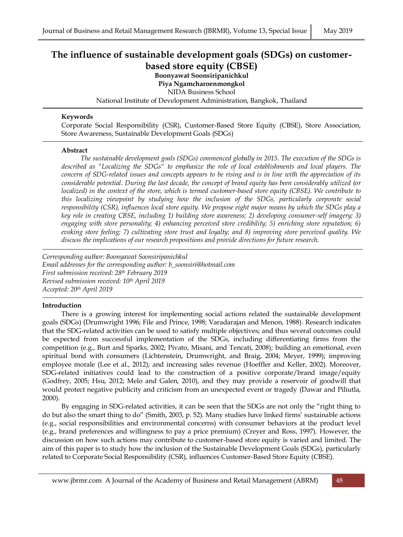# **The influence of sustainable development goals (SDGs) on customerbased store equity (CBSE)**

**Boonyawat Soonsiripanichkul**

**Piya Ngamcharoenmongkol**

NIDA Business School

National Institute of Development Administration, Bangkok, Thailand

### **Keywords**

Corporate Social Responsibility (CSR), Customer-Based Store Equity (CBSE), Store Association, Store Awareness, Sustainable Development Goals (SDGs)

#### **Abstract**

*The sustainable development goals (SDGs) commenced globally in 2015. The execution of the SDGs is described as "Localizing the SDGs" to emphasize the role of local establishments and local players. The concern of SDG-related issues and concepts appears to be rising and is in line with the appreciation of its considerable potential*. *During the last decade, the concept of brand equity has been considerably utilized (or localized) in the context of the store, which is termed customer-based store equity (CBSE). We contribute to this localizing viewpoint by studying how the inclusion of the SDGs, particularly corporate social responsibility (CSR), influences local store equity. We propose eight major means by which the SDGs play a key role in creating CBSE, including 1) building store awareness; 2) developing consumer-self imagery; 3) engaging with store personality; 4) enhancing perceived store credibility; 5) enriching store reputation; 6) evoking store feeling; 7) cultivating store trust and loyalty; and 8) improving store perceived quality. We discuss the implications of our research propositions and provide directions for future research.*

*Corresponding author: Boonyawat Soonsiripanichkul Email addresses for the corresponding author: b\_soonsiri@hotmail.com First submission received: 28th February 2019 Revised submission received: 10th April 2019 Accepted: 20th April 2019*

# **Introduction**

There is a growing interest for implementing social actions related the sustainable development goals (SDGs) (Drumwright 1996; File and Prince, 1998; Varadarajan and Menon, 1988). Research indicates that the SDG-related activities can be used to satisfy multiple objectives; and thus several outcomes could be expected from successful implementation of the SDGs, including differentiating firms from the competition (e.g., Burt and Sparks, 2002; Pivato, Misani, and Tencati, 2008); building an emotional, even spiritual bond with consumers (Lichtenstein, Drumwright, and Braig, 2004; Meyer, 1999); improving employee morale (Lee et al., 2012); and increasing sales revenue (Hoeffler and Keller, 2002). Moreover, SDG-related initiatives could lead to the construction of a positive corporate/brand image/equity (Godfrey, 2005; Hsu, 2012; Melo and Galen, 2010), and they may provide a reservoir of goodwill that would protect negative publicity and criticism from an unexpected event or tragedy (Dawar and Piliutla, 2000).

By engaging in SDG-related activities, it can be seen that the SDGs are not only the "right thing to do but also the smart thing to do" (Smith, 2003, p. 52). Many studies have linked firms' sustainable actions (e.g., social responsibilities and environmental concerns) with consumer behaviors at the product level (e.g., brand preferences and willingness to pay a price premium) (Creyer and Ross, 1997). However, the discussion on how such actions may contribute to customer-based store equity is varied and limited. The aim of this paper is to study how the inclusion of the Sustainable Development Goals (SDGs), particularly related to Corporate Social Responsibility (CSR), influences Customer-Based Store Equity (CBSE).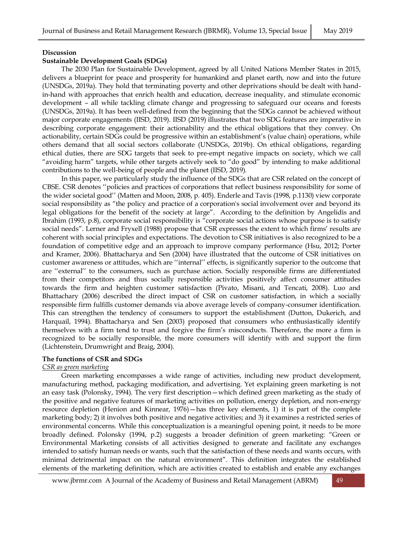#### **Discussion**

# **Sustainable Development Goals (SDGs)**

The 2030 Plan for Sustainable Development, agreed by all United Nations Member States in 2015, delivers a blueprint for peace and prosperity for humankind and planet earth, now and into the future (UNSDGs, 2019a). They hold that terminating poverty and other deprivations should be dealt with handin-hand with approaches that enrich health and education, decrease inequality, and stimulate economic development – all while tackling climate change and progressing to safeguard our oceans and forests (UNSDGs, 2019a). It has been well-defined from the beginning that the SDGs cannot be achieved without major corporate engagements (IISD, 2019). IISD (2019) illustrates that two SDG features are imperative in describing corporate engagement: their actionability and the ethical obligations that they convey. On actionability, certain SDGs could be progressive within an establishment's (value chain) operations, while others demand that all social sectors collaborate (UNSDGs, 2019b). On ethical obligations, regarding ethical duties, there are SDG targets that seek to pre-empt negative impacts on society, which we call "avoiding harm" targets, while other targets actively seek to "do good" by intending to make additional contributions to the well-being of people and the planet (IISD, 2019).

In this paper, we particularly study the influence of the SDGs that are CSR related on the concept of CBSE. CSR denotes ''policies and practices of corporations that reflect business responsibility for some of the wider societal good'' (Matten and Moon, 2008, p. 405). Enderle and Tavis (1998, p.1130) view corporate social responsibility as "the policy and practice of a corporation's social involvement over and beyond its legal obligations for the benefit of the society at large". According to the definition by Angelidis and Ibrahim (1993, p.8), corporate social responsibility is "corporate social actions whose purpose is to satisfy social needs". Lerner and Fryxell (1988) propose that CSR expresses the extent to which firms' results are coherent with social principles and expectations. The devotion to CSR initiatives is also recognized to be a foundation of competitive edge and an approach to improve company performance (Hsu, 2012; Porter and Kramer, 2006). Bhattacharya and Sen (2004) have illustrated that the outcome of CSR initiatives on customer awareness or attitudes, which are ''internal'' effects, is significantly superior to the outcome that are ''external'' to the consumers, such as purchase action. Socially responsible firms are differentiated from their competitors and thus socially responsible activities positively affect consumer attitudes towards the firm and heighten customer satisfaction (Pivato, Misani, and Tencati, 2008). Luo and Bhattachary (2006) described the direct impact of CSR on customer satisfaction, in which a socially responsible firm fulfills customer demands via above average levels of company-consumer identification. This can strengthen the tendency of consumers to support the establishment (Dutton, Dukerich, and Harquail, 1994). Bhattacharya and Sen (2003) proposed that consumers who enthusiastically identify themselves with a firm tend to trust and forgive the firm's misconducts. Therefore, the more a firm is recognized to be socially responsible, the more consumers will identify with and support the firm (Lichtenstein, Drumwright and Braig, 2004).

# **The functions of CSR and SDGs**

# *CSR as green marketing*

Green marketing encompasses a wide range of activities, including new product development, manufacturing method, packaging modification, and advertising. Yet explaining green marketing is not an easy task (Polonsky, 1994). The very first description—which defined green marketing as the study of the positive and negative features of marketing activities on pollution, energy depletion, and non-energy resource depletion (Henion and Kinnear, 1976)—has three key elements, 1) it is part of the complete marketing body; 2) it involves both positive and negative activities; and 3) it examines a restricted series of environmental concerns. While this conceptualization is a meaningful opening point, it needs to be more broadly defined. Polonsky (1994, p.2) suggests a broader definition of green marketing: "Green or Environmental Marketing consists of all activities designed to generate and facilitate any exchanges intended to satisfy human needs or wants, such that the satisfaction of these needs and wants occurs, with minimal detrimental impact on the natural environment". This definition integrates the established elements of the marketing definition, which are activities created to establish and enable any exchanges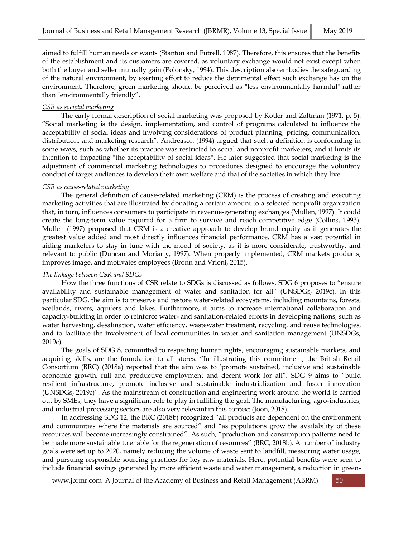aimed to fulfill human needs or wants (Stanton and Futrell, 1987). Therefore, this ensures that the benefits of the establishment and its customers are covered, as voluntary exchange would not exist except when both the buyer and seller mutually gain (Polonsky, 1994). This description also embodies the safeguarding of the natural environment, by exerting effort to reduce the detrimental effect such exchange has on the environment. Therefore, green marketing should be perceived as "less environmentally harmful" rather than "environmentally friendly".

# *CSR as societal marketing*

The early formal description of social marketing was proposed by Kotler and Zaltman (1971, p. 5): "Social marketing is the design, implementation, and control of programs calculated to influence the acceptability of social ideas and involving considerations of product planning, pricing, communication, distribution, and marketing research". Andreason (1994) argued that such a definition is confounding in some ways, such as whether its practice was restricted to social and nonprofit marketers, and it limits its intention to impacting "the acceptability of social ideas". He later suggested that social marketing is the adjustment of commercial marketing technologies to procedures designed to encourage the voluntary conduct of target audiences to develop their own welfare and that of the societies in which they live.

# *CSR as cause-related marketing*

The general definition of cause-related marketing (CRM) is the process of creating and executing marketing activities that are illustrated by donating a certain amount to a selected nonprofit organization that, in turn, influences consumers to participate in revenue-generating exchanges (Mullen, 1997). It could create the long-term value required for a firm to survive and reach competitive edge (Collins, 1993). Mullen (1997) proposed that CRM is a creative approach to develop brand equity as it generates the greatest value added and most directly influences financial performance. CRM has a vast potential in aiding marketers to stay in tune with the mood of society, as it is more considerate, trustworthy, and relevant to public (Duncan and Moriarty, 1997). When properly implemented, CRM markets products, improves image, and motivates employees (Bronn and Vrioni, 2015).

# *The linkage between CSR and SDGs*

How the three functions of CSR relate to SDGs is discussed as follows. SDG 6 proposes to "ensure availability and sustainable management of water and sanitation for all" (UNSDGs, 2019c). In this particular SDG, the aim is to preserve and restore water-related ecosystems, including mountains, forests, wetlands, rivers, aquifers and lakes. Furthermore, it aims to increase international collaboration and capacity-building in order to reinforce water- and sanitation-related efforts in developing nations, such as water harvesting, desalination, water efficiency, wastewater treatment, recycling, and reuse technologies, and to facilitate the involvement of local communities in water and sanitation management (UNSDGs, 2019c).

The goals of SDG 8, committed to respecting human rights, encouraging sustainable markets, and acquiring skills, are the foundation to all stores. "In illustrating this commitment, the British Retail Consortium (BRC) (2018a) reported that the aim was to 'promote sustained, inclusive and sustainable economic growth, full and productive employment and decent work for all". SDG 9 aims to "build resilient infrastructure, promote inclusive and sustainable industrialization and foster innovation (UNSDGs, 2019c)". As the mainstream of construction and engineering work around the world is carried out by SMEs, they have a significant role to play in fulfilling the goal. The manufacturing, agro-industries, and industrial processing sectors are also very relevant in this context (Joon, 2018).

In addressing SDG 12, the BRC (2018b) recognized "all products are dependent on the environment and communities where the materials are sourced" and "as populations grow the availability of these resources will become increasingly constrained". As such, "production and consumption patterns need to be made more sustainable to enable for the regeneration of resources" (BRC, 2018b). A number of industry goals were set up to 2020, namely reducing the volume of waste sent to landfill, measuring water usage, and pursuing responsible sourcing practices for key raw materials. Here, potential benefits were seen to include financial savings generated by more efficient waste and water management, a reduction in green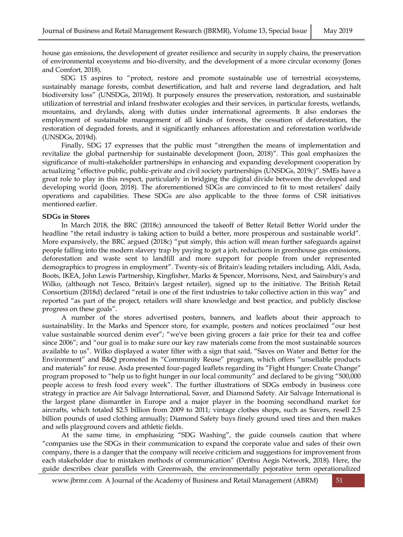house gas emissions, the development of greater resilience and security in supply chains, the preservation of environmental ecosystems and bio-diversity, and the development of a more circular economy (Jones and Comfort, 2018).

SDG 15 aspires to "protect, restore and promote sustainable use of terrestrial ecosystems, sustainably manage forests, combat desertification, and halt and reverse land degradation, and halt biodiversity loss" (UNSDGs, 2019d). It purposely ensures the preservation, restoration, and sustainable utilization of terrestrial and inland freshwater ecologies and their services, in particular forests, wetlands, mountains, and drylands, along with duties under international agreements. It also endorses the employment of sustainable management of all kinds of forests, the cessation of deforestation, the restoration of degraded forests, and it significantly enhances afforestation and reforestation worldwide (UNSDGs, 2019d).

Finally, SDG 17 expresses that the public must "strengthen the means of implementation and revitalize the global partnership for sustainable development (Joon, 2018)". This goal emphasizes the significance of multi-stakeholder partnerships in enhancing and expanding development cooperation by actualizing "effective public, public-private and civil society partnerships (UNSDGs, 2019c)". SMEs have a great role to play in this respect, particularly in bridging the digital divide between the developed and developing world (Joon, 2018). The aforementioned SDGs are convinced to fit to most retailers' daily operations and capabilities. These SDGs are also applicable to the three forms of CSR initiatives mentioned earlier.

# **SDGs in Stores**

In March 2018, the BRC (2018c) announced the takeoff of Better Retail Better World under the headline "the retail industry is taking action to build a better, more prosperous and sustainable world". More expansively, the BRC argued (2018c) "put simply, this action will mean further safeguards against people falling into the modern slavery trap by paying to get a job, reductions in greenhouse gas emissions, deforestation and waste sent to landfill and more support for people from under represented demographics to progress in employment". Twenty-six of Britain's leading retailers including, Aldi, Asda, Boots, IKEA, John Lewis Partnership, Kingfisher, Marks & Spencer, Morrisons, Next, and Sainsbury's and Wilko, (although not Tesco, Britain's largest retailer), signed up to the initiative. The British Retail Consortium (2018d) declared "retail is one of the first industries to take collective action in this way" and reported "as part of the project, retailers will share knowledge and best practice, and publicly disclose progress on these goals".

A number of the stores advertised posters, banners, and leaflets about their approach to sustainability. In the Marks and Spencer store, for example, posters and notices proclaimed "our best value sustainable sourced denim ever"; "we've been giving grocers a fair price for their tea and coffee since 2006"; and "our goal is to make sure our key raw materials come from the most sustainable sources available to us". Wilko displayed a water filter with a sign that said, "Saves on Water and Better for the Environment" and B&Q promoted its "Community Reuse" program, which offers "unsellable products and materials" for reuse. Asda presented four-paged leaflets regarding its "Fight Hunger: Create Change" program proposed to "help us to fight hunger in our local community" and declared to be giving "500,000 people access to fresh food every week". The further illustrations of SDGs embody in business core strategy in practice are Air Salvage International, Saver, and Diamond Safety. Air Salvage International is the largest plane dismantler in Europe and a major player in the booming secondhand market for aircrafts, which totaled \$2.5 billion from 2009 to 2011; vintage clothes shops, such as Savers, resell 2.5 billion pounds of used clothing annually; Diamond Safety buys finely ground used tires and then makes and sells playground covers and athletic fields.

At the same time, in emphasizing "SDG Washing", the guide counsels caution that where "companies use the SDGs in their communication to expand the corporate value and sales of their own company, there is a danger that the company will receive criticism and suggestions for improvement from each stakeholder due to mistaken methods of communication" (Dentsu Aegis Network, 2018). Here, the guide describes clear parallels with Greenwash, the environmentally pejorative term operationalized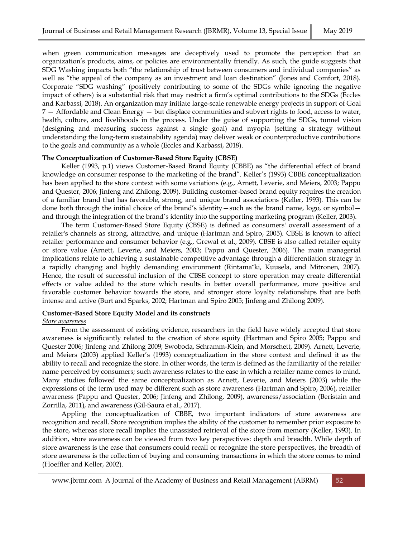when green communication messages are deceptively used to promote the perception that an organization's products, aims, or policies are environmentally friendly. As such, the guide suggests that SDG Washing impacts both "the relationship of trust between consumers and individual companies" as well as "the appeal of the company as an investment and loan destination" (Jones and Comfort, 2018). Corporate "SDG washing" (positively contributing to some of the SDGs while ignoring the negative impact of others) is a substantial risk that may restrict a firm's optimal contributions to the SDGs (Eccles and Karbassi, 2018). An organization may initiate large-scale renewable energy projects in support of Goal 7 — Affordable and Clean Energy — but displace communities and subvert rights to food, access to water, health, culture, and livelihoods in the process. Under the guise of supporting the SDGs, tunnel vision (designing and measuring success against a single goal) and myopia (setting a strategy without understanding the long-term sustainability agenda) may deliver weak or counterproductive contributions to the goals and community as a whole (Eccles and Karbassi, 2018).

#### **The Conceptualization of Customer-Based Store Equity (CBSE)**

Keller (1993, p.1) views Customer-Based Brand Equity (CBBE) as "the differential effect of brand knowledge on consumer response to the marketing of the brand". Keller's (1993) CBBE conceptualization has been applied to the store context with some variations (e.g., Arnett, Leverie, and Meiers, 2003; Pappu and Quester, 2006; Jinfeng and Zhilong, 2009). Building customer-based brand equity requires the creation of a familiar brand that has favorable, strong, and unique brand associations (Keller, 1993). This can be done both through the initial choice of the brand's identity—such as the brand name, logo, or symbol and through the integration of the brand's identity into the supporting marketing program (Keller, 2003).

The term Customer-Based Store Equity (CBSE) is defined as consumers' overall assessment of a retailer's channels as strong, attractive, and unique (Hartman and Spiro, 2005). CBSE is known to affect retailer performance and consumer behavior (e.g., Grewal et al., 2009). CBSE is also called retailer equity or store value (Arnett, Leverie, and Meiers, 2003; Pappu and Quester, 2006). The main managerial implications relate to achieving a sustainable competitive advantage through a differentiation strategy in a rapidly changing and highly demanding environment (Rintama¨ki, Kuusela, and Mitronen, 2007). Hence, the result of successful inclusion of the CBSE concept to store operation may create differential effects or value added to the store which results in better overall performance, more positive and favorable customer behavior towards the store, and stronger store loyalty relationships that are both intense and active (Burt and Sparks, 2002; Hartman and Spiro 2005; Jinfeng and Zhilong 2009).

# **Customer-Based Store Equity Model and its constructs**

#### *Store awareness*

From the assessment of existing evidence, researchers in the field have widely accepted that store awareness is significantly related to the creation of store equity (Hartman and Spiro 2005; Pappu and Quester 2006; Jinfeng and Zhilong 2009; Swoboda, Schramm-Klein, and Morschett, 2009). Arnett, Leverie, and Meiers (2003) applied Keller's (1993) conceptualization in the store context and defined it as the ability to recall and recognize the store. In other words, the term is defined as the familiarity of the retailer name perceived by consumers; such awareness relates to the ease in which a retailer name comes to mind. Many studies followed the same conceptualization as Arnett, Leverie, and Meiers (2003) while the expressions of the term used may be different such as store awareness (Hartman and Spiro, 2006), retailer awareness (Pappu and Quester, 2006; Jinfeng and Zhilong, 2009), awareness/association (Beristain and Zorrilla, 2011), and awareness (Gil-Saura et al., 2017).

Appling the conceptualization of CBBE, two important indicators of store awareness are recognition and recall. Store recognition implies the ability of the customer to remember prior exposure to the store, whereas store recall implies the unassisted retrieval of the store from memory (Keller, 1993). In addition, store awareness can be viewed from two key perspectives: depth and breadth. While depth of store awareness is the ease that consumers could recall or recognize the store perspectives, the breadth of store awareness is the collection of buying and consuming transactions in which the store comes to mind (Hoeffler and Keller, 2002).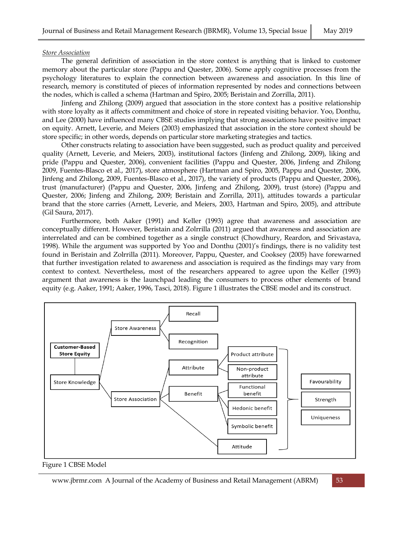# *Store Association*

The general definition of association in the store context is anything that is linked to customer memory about the particular store (Pappu and Quester, 2006). Some apply cognitive processes from the psychology literatures to explain the connection between awareness and association. In this line of research, memory is constituted of pieces of information represented by nodes and connections between the nodes, which is called a schema (Hartman and Spiro, 2005; Beristain and Zorrilla, 2011).

Jinfeng and Zhilong (2009) argued that association in the store context has a positive relationship with store loyalty as it affects commitment and choice of store in repeated visiting behavior. Yoo, Donthu, and Lee (2000) have influenced many CBSE studies implying that strong associations have positive impact on equity. Arnett, Leverie, and Meiers (2003) emphasized that association in the store context should be store specific; in other words, depends on particular store marketing strategies and tactics.

Other constructs relating to association have been suggested, such as product quality and perceived quality (Arnett, Leverie, and Meiers, 2003), institutional factors (Jinfeng and Zhilong, 2009), liking and pride (Pappu and Quester, 2006), convenient facilities (Pappu and Quester, 2006, Jinfeng and Zhilong 2009, Fuentes-Blasco et al., 2017), store atmosphere (Hartman and Spiro, 2005, Pappu and Quester, 2006, Jinfeng and Zhilong, 2009, Fuentes-Blasco et al., 2017), the variety of products (Pappu and Quester, 2006), trust (manufacturer) (Pappu and Quester, 2006, Jinfeng and Zhilong, 2009), trust (store) (Pappu and Quester, 2006; Jinfeng and Zhilong, 2009; Beristain and Zorrilla, 2011), attitudes towards a particular brand that the store carries (Arnett, Leverie, and Meiers, 2003, Hartman and Spiro, 2005), and attribute (Gil Saura, 2017).

Furthermore, both Aaker (1991) and Keller (1993) agree that awareness and association are conceptually different. However, Beristain and Zolrrilla (2011) argued that awareness and association are interrelated and can be combined together as a single construct (Chowdhury, Reardon, and Srivastava, 1998). While the argument was supported by Yoo and Donthu (2001)'s findings, there is no validity test found in Beristain and Zolrrilla (2011). Moreover, Pappu, Quester, and Cooksey (2005) have forewarned that further investigation related to awareness and association is required as the findings may vary from context to context. Nevertheless, most of the researchers appeared to agree upon the Keller (1993) argument that awareness is the launchpad leading the consumers to process other elements of brand equity (e.g. Aaker, 1991; Aaker, 1996, Tasci, 2018). Figure 1 illustrates the CBSE model and its construct.



Figure 1 CBSE Model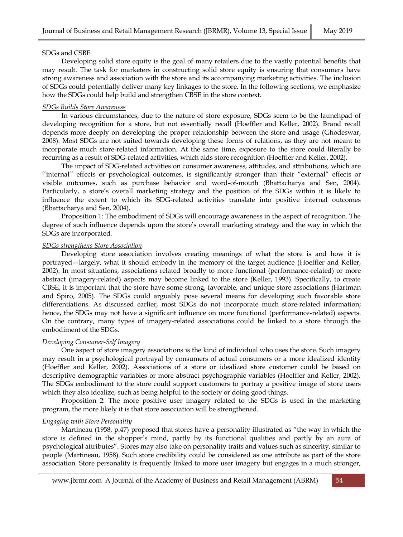# SDGs and CSBE

Developing solid store equity is the goal of many retailers due to the vastly potential benefits that may result. The task for marketers in constructing solid store equity is ensuring that consumers have strong awareness and association with the store and its accompanying marketing activities. The inclusion of SDGs could potentially deliver many key linkages to the store. In the following sections, we emphasize how the SDGs could help build and strengthen CBSE in the store context.

# *SDGs Builds Store Awareness*

In various circumstances, due to the nature of store exposure, SDGs seem to be the launchpad of developing recognition for a store, but not essentially recall (Hoeffler and Keller, 2002). Brand recall depends more deeply on developing the proper relationship between the store and usage (Ghodeswar, 2008). Most SDGs are not suited towards developing these forms of relations, as they are not meant to incorporate much store-related information. At the same time, exposure to the store could literally be recurring as a result of SDG-related activities, which aids store recognition (Hoeffler and Keller, 2002).

The impact of SDG-related activities on consumer awareness, attitudes, and attributions, which are ''internal'' effects or psychological outcomes, is significantly stronger than their "external" effects or visible outcomes, such as purchase behavior and word-of-mouth (Bhattacharya and Sen, 2004). Particularly, a store's overall marketing strategy and the position of the SDGs within it is likely to influence the extent to which its SDG-related activities translate into positive internal outcomes (Bhattacharya and Sen, 2004).

Proposition 1: The embodiment of SDGs will encourage awareness in the aspect of recognition. The degree of such influence depends upon the store's overall marketing strategy and the way in which the SDGs are incorporated.

#### *SDGs strengthens Store Association*

Developing store association involves creating meanings of what the store is and how it is portrayed—largely, what it should embody in the memory of the target audience (Hoeffler and Keller, 2002). In most situations, associations related broadly to more functional (performance-related) or more abstract (imagery-related) aspects may become linked to the store (Keller, 1993). Specifically, to create CBSE, it is important that the store have some strong, favorable, and unique store associations (Hartman and Spiro, 2005). The SDGs could arguably pose several means for developing such favorable store differentiations. As discussed earlier, most SDGs do not incorporate much store-related information; hence, the SDGs may not have a significant influence on more functional (performance-related) aspects. On the contrary, many types of imagery-related associations could be linked to a store through the embodiment of the SDGs.

# *Developing Consumer-Self Imagery*

One aspect of store imagery associations is the kind of individual who uses the store. Such imagery may result in a psychological portrayal by consumers of actual consumers or a more idealized identity (Hoeffler and Keller, 2002). Associations of a store or idealized store customer could be based on descriptive demographic variables or more abstract psychographic variables (Hoeffler and Keller, 2002). The SDGs embodiment to the store could support customers to portray a positive image of store users which they also idealize, such as being helpful to the society or doing good things.

Proposition 2: The more positive user imagery related to the SDGs is used in the marketing program, the more likely it is that store association will be strengthened.

#### *Engaging with Store Personality*

Martineau (1958, p.47) proposed that stores have a personality illustrated as "the way in which the store is defined in the shopper's mind, partly by its functional qualities and partly by an aura of psychological attributes". Stores may also take on personality traits and values such as sincerity, similar to people (Martineau, 1958). Such store credibility could be considered as one attribute as part of the store association. Store personality is frequently linked to more user imagery but engages in a much stronger,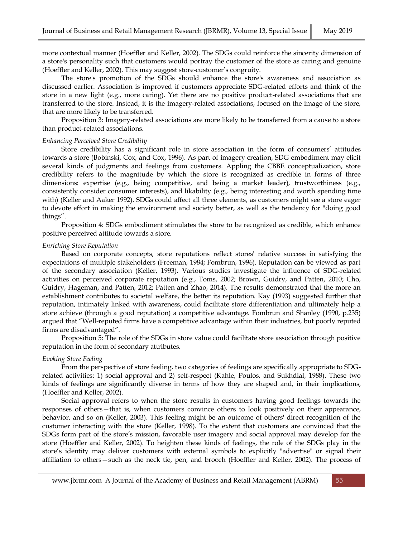more contextual manner (Hoeffler and Keller, 2002). The SDGs could reinforce the sincerity dimension of a store's personality such that customers would portray the customer of the store as caring and genuine (Hoeffler and Keller, 2002). This may suggest store-customer's congruity.

The store's promotion of the SDGs should enhance the store's awareness and association as discussed earlier. Association is improved if customers appreciate SDG-related efforts and think of the store in a new light (e.g., more caring). Yet there are no positive product-related associations that are transferred to the store. Instead, it is the imagery-related associations, focused on the image of the store, that are more likely to be transferred.

Proposition 3: Imagery-related associations are more likely to be transferred from a cause to a store than product-related associations.

#### *Enhancing Perceived Store Credibility*

Store credibility has a significant role in store association in the form of consumers' attitudes towards a store (Bobinski, Cox, and Cox, 1996). As part of imagery creation, SDG embodiment may elicit several kinds of judgments and feelings from customers. Appling the CBBE conceptualization, store credibility refers to the magnitude by which the store is recognized as credible in forms of three dimensions: expertise (e.g., being competitive, and being a market leader), trustworthiness (e.g., consistently consider consumer interests), and likability (e.g., being interesting and worth spending time with) (Keller and Aaker 1992). SDGs could affect all three elements, as customers might see a store eager to devote effort in making the environment and society better, as well as the tendency for "doing good things".

Proposition 4: SDGs embodiment stimulates the store to be recognized as credible, which enhance positive perceived attitude towards a store.

#### *Enriching Store Reputation*

Based on corporate concepts, store reputations reflect stores' relative success in satisfying the expectations of multiple stakeholders (Freeman, 1984; Fombrun, 1996). Reputation can be viewed as part of the secondary association (Keller, 1993). Various studies investigate the influence of SDG-related activities on perceived corporate reputation (e.g., Toms, 2002; Brown, Guidry, and Patten, 2010; Cho, Guidry, Hageman, and Patten, 2012; Patten and Zhao, 2014). The results demonstrated that the more an establishment contributes to societal welfare, the better its reputation. Kay (1993) suggested further that reputation, intimately linked with awareness, could facilitate store differentiation and ultimately help a store achieve (through a good reputation) a competitive advantage. Fombrun and Shanley (1990, p.235) argued that "Well-reputed firms have a competitive advantage within their industries, but poorly reputed firms are disadvantaged".

Proposition 5: The role of the SDGs in store value could facilitate store association through positive reputation in the form of secondary attributes.

# *Evoking Store Feeling*

From the perspective of store feeling, two categories of feelings are specifically appropriate to SDGrelated activities: 1) social approval and 2) self-respect (Kahle, Poulos, and Sukhdial, 1988). These two kinds of feelings are significantly diverse in terms of how they are shaped and, in their implications, (Hoeffler and Keller, 2002).

Social approval refers to when the store results in customers having good feelings towards the responses of others—that is, when customers convince others to look positively on their appearance, behavior, and so on (Keller, 2003). This feeling might be an outcome of others' direct recognition of the customer interacting with the store (Keller, 1998). To the extent that customers are convinced that the SDGs form part of the store's mission, favorable user imagery and social approval may develop for the store (Hoeffler and Keller, 2002). To heighten these kinds of feelings, the role of the SDGs play in the store's identity may deliver customers with external symbols to explicitly "advertise" or signal their affiliation to others—such as the neck tie, pen, and brooch (Hoeffler and Keller, 2002). The process of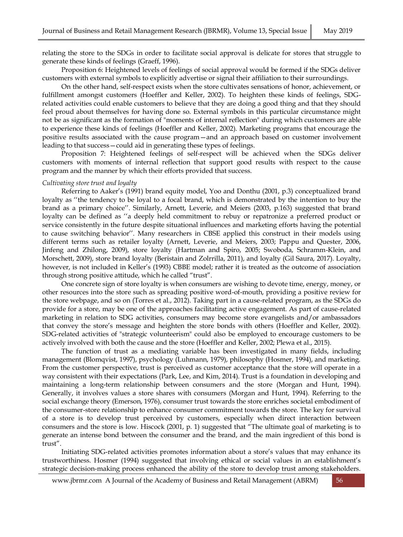relating the store to the SDGs in order to facilitate social approval is delicate for stores that struggle to generate these kinds of feelings (Graeff, 1996).

Proposition 6: Heightened levels of feelings of social approval would be formed if the SDGs deliver customers with external symbols to explicitly advertise or signal their affiliation to their surroundings.

On the other hand, self-respect exists when the store cultivates sensations of honor, achievement, or fulfillment amongst customers (Hoeffler and Keller, 2002). To heighten these kinds of feelings, SDGrelated activities could enable customers to believe that they are doing a good thing and that they should feel proud about themselves for having done so. External symbols in this particular circumstance might not be as significant as the formation of "moments of internal reflection" during which customers are able to experience these kinds of feelings (Hoeffler and Keller, 2002). Marketing programs that encourage the positive results associated with the cause program—and an approach based on customer involvement leading to that success—could aid in generating these types of feelings.

Proposition 7: Heightened feelings of self-respect will be achieved when the SDGs deliver customers with moments of internal reflection that support good results with respect to the cause program and the manner by which their efforts provided that success.

#### *Cultivating store trust and loyalty*

Referring to Aaker's (1991) brand equity model, Yoo and Donthu (2001, p.3) conceptualized brand loyalty as ''the tendency to be loyal to a focal brand, which is demonstrated by the intention to buy the brand as a primary choice''. Similarly, Arnett, Leverie, and Meiers (2003, p.163) suggested that brand loyalty can be defined as ''a deeply held commitment to rebuy or repatronize a preferred product or service consistently in the future despite situational influences and marketing efforts having the potential to cause switching behavior''. Many researchers in CBSE applied this construct in their models using different terms such as retailer loyalty (Arnett, Leverie, and Meiers, 2003; Pappu and Quester, 2006, Jinfeng and Zhilong, 2009), store loyalty (Hartman and Spiro, 2005; Swoboda, Schramm-Klein, and Morschett, 2009), store brand loyalty (Beristain and Zolrrilla, 2011), and loyalty (Gil Saura, 2017). Loyalty, however, is not included in Keller's (1993) CBBE model; rather it is treated as the outcome of association through strong positive attitude, which he called "trust".

One concrete sign of store loyalty is when consumers are wishing to devote time, energy, money, or other resources into the store such as spreading positive word-of-mouth, providing a positive review for the store webpage, and so on (Torres et al., 2012). Taking part in a cause-related program, as the SDGs do provide for a store, may be one of the approaches facilitating active engagement. As part of cause-related marketing in relation to SDG activities, consumers may become store evangelists and/or ambassadors that convey the store's message and heighten the store bonds with others (Hoeffler and Keller, 2002). SDG-related activities of "strategic volunteerism" could also be employed to encourage customers to be actively involved with both the cause and the store (Hoeffler and Keller, 2002; Plewa et al., 2015).

The function of trust as a mediating variable has been investigated in many fields, including management (Blomqvist, 1997), psychology (Luhmann, 1979), philosophy (Hosmer, 1994), and marketing. From the customer perspective, trust is perceived as customer acceptance that the store will operate in a way consistent with their expectations (Park, Lee, and Kim, 2014). Trust is a foundation in developing and maintaining a long-term relationship between consumers and the store (Morgan and Hunt, 1994). Generally, it involves values a store shares with consumers (Morgan and Hunt, 1994). Referring to the social exchange theory (Emerson, 1976), consumer trust towards the store enriches societal embodiment of the consumer-store relationship to enhance consumer commitment towards the store. The key for survival of a store is to develop trust perceived by customers, especially when direct interaction between consumers and the store is low. Hiscock (2001, p. 1) suggested that "The ultimate goal of marketing is to generate an intense bond between the consumer and the brand, and the main ingredient of this bond is trust".

Initiating SDG-related activities promotes information about a store's values that may enhance its trustworthiness. Hosmer (1994) suggested that involving ethical or social values in an establishment's strategic decision-making process enhanced the ability of the store to develop trust among stakeholders.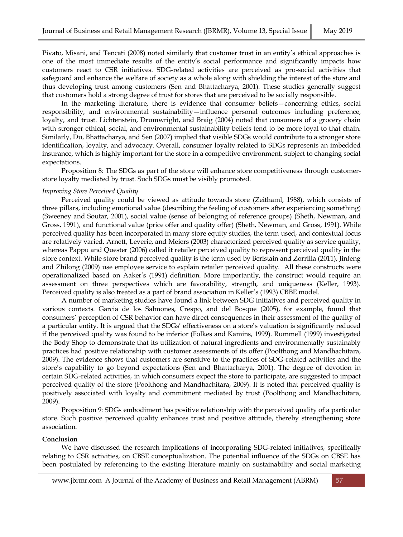Pivato, Misani, and Tencati (2008) noted similarly that customer trust in an entity's ethical approaches is one of the most immediate results of the entity's social performance and significantly impacts how customers react to CSR initiatives. SDG-related activities are perceived as pro-social activities that safeguard and enhance the welfare of society as a whole along with shielding the interest of the store and thus developing trust among customers (Sen and Bhattacharya, 2001). These studies generally suggest that customers hold a strong degree of trust for stores that are perceived to be socially responsible.

In the marketing literature, there is evidence that consumer beliefs—concerning ethics, social responsibility, and environmental sustainability—influence personal outcomes including preference, loyalty, and trust. Lichtenstein, Drumwright, and Braig (2004) noted that consumers of a grocery chain with stronger ethical, social, and environmental sustainability beliefs tend to be more loyal to that chain. Similarly, Du, Bhattacharya, and Sen (2007) implied that visible SDGs would contribute to a stronger store identification, loyalty, and advocacy. Overall, consumer loyalty related to SDGs represents an imbedded insurance, which is highly important for the store in a competitive environment, subject to changing social expectations.

Proposition 8: The SDGs as part of the store will enhance store competitiveness through customerstore loyalty mediated by trust. Such SDGs must be visibly promoted.

#### *Improving Store Perceived Quality*

Perceived quality could be viewed as attitude towards store (Zeithaml, 1988), which consists of three pillars, including emotional value (describing the feeling of customers after experiencing something) (Sweeney and Soutar, 2001), social value (sense of belonging of reference groups) (Sheth, Newman, and Gross, 1991), and functional value (price offer and quality offer) (Sheth, Newman, and Gross, 1991). While perceived quality has been incorporated in many store equity studies, the term used, and contextual focus are relatively varied. Arnett, Leverie, and Meiers (2003) characterized perceived quality as service quality, whereas Pappu and Quester (2006) called it retailer perceived quality to represent perceived quality in the store context. While store brand perceived quality is the term used by Beristain and Zorrilla (2011), Jinfeng and Zhilong (2009) use employee service to explain retailer perceived quality. All these constructs were operationalized based on Aaker's (1991) definition. More importantly, the construct would require an assessment on three perspectives which are favorability, strength, and uniqueness (Keller, 1993). Perceived quality is also treated as a part of brand association in Keller's (1993) CBBE model.

A number of marketing studies have found a link between SDG initiatives and perceived quality in various contexts. Garcia de los Salmones, Crespo, and del Bosque (2005), for example, found that consumers' perception of CSR behavior can have direct consequences in their assessment of the quality of a particular entity. It is argued that the SDGs' effectiveness on a store's valuation is significantly reduced if the perceived quality was found to be inferior (Folkes and Kamins, 1999). Rummell (1999) investigated the Body Shop to demonstrate that its utilization of natural ingredients and environmentally sustainably practices had positive relationship with customer assessments of its offer (Poolthong and Mandhachitara, 2009). The evidence shows that customers are sensitive to the practices of SDG-related activities and the store's capability to go beyond expectations (Sen and Bhattacharya, 2001). The degree of devotion in certain SDG-related activities, in which consumers expect the store to participate, are suggested to impact perceived quality of the store (Poolthong and Mandhachitara, 2009). It is noted that perceived quality is positively associated with loyalty and commitment mediated by trust (Poolthong and Mandhachitara, 2009).

Proposition 9: SDGs embodiment has positive relationship with the perceived quality of a particular store. Such positive perceived quality enhances trust and positive attitude, thereby strengthening store association.

#### **Conclusion**

We have discussed the research implications of incorporating SDG-related initiatives, specifically relating to CSR activities, on CBSE conceptualization. The potential influence of the SDGs on CBSE has been postulated by referencing to the existing literature mainly on sustainability and social marketing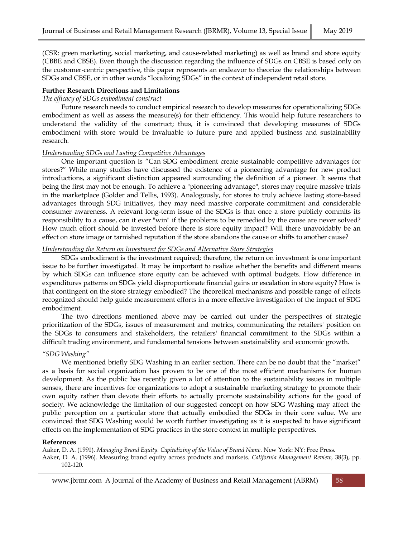(CSR: green marketing, social marketing, and cause-related marketing) as well as brand and store equity (CBBE and CBSE). Even though the discussion regarding the influence of SDGs on CBSE is based only on the customer-centric perspective, this paper represents an endeavor to theorize the relationships between SDGs and CBSE, or in other words "localizing SDGs" in the context of independent retail store.

# **Further Research Directions and Limitations**

# *The efficacy of SDGs embodiment construct*

Future research needs to conduct empirical research to develop measures for operationalizing SDGs embodiment as well as assess the measure(s) for their efficiency. This would help future researchers to understand the validity of the construct; thus, it is convinced that developing measures of SDGs embodiment with store would be invaluable to future pure and applied business and sustainability research.

#### *Understanding SDGs and Lasting Competitive Advantages*

One important question is "Can SDG embodiment create sustainable competitive advantages for stores?" While many studies have discussed the existence of a pioneering advantage for new product introductions, a significant distinction appeared surrounding the definition of a pioneer. It seems that being the first may not be enough. To achieve a "pioneering advantage", stores may require massive trials in the marketplace (Golder and Tellis, 1993). Analogously, for stores to truly achieve lasting store-based advantages through SDG initiatives, they may need massive corporate commitment and considerable consumer awareness. A relevant long-term issue of the SDGs is that once a store publicly commits its responsibility to a cause, can it ever "win" if the problems to be remedied by the cause are never solved? How much effort should be invested before there is store equity impact? Will there unavoidably be an effect on store image or tarnished reputation if the store abandons the cause or shifts to another cause?

# *Understanding the Return on Investment for SDGs and Alternative Store Strategies*

SDGs embodiment is the investment required; therefore, the return on investment is one important issue to be further investigated. It may be important to realize whether the benefits and different means by which SDGs can influence store equity can be achieved with optimal budgets. How difference in expenditures patterns on SDGs yield disproportionate financial gains or escalation in store equity? How is that contingent on the store strategy embodied? The theoretical mechanisms and possible range of effects recognized should help guide measurement efforts in a more effective investigation of the impact of SDG embodiment.

The two directions mentioned above may be carried out under the perspectives of strategic prioritization of the SDGs, issues of measurement and metrics, communicating the retailers' position on the SDGs to consumers and stakeholders, the retailers' financial commitment to the SDGs within a difficult trading environment, and fundamental tensions between sustainability and economic growth.

# *"SDG Washing"*

We mentioned briefly SDG Washing in an earlier section. There can be no doubt that the "market" as a basis for social organization has proven to be one of the most efficient mechanisms for human development. As the public has recently given a lot of attention to the sustainability issues in multiple senses, there are incentives for organizations to adopt a sustainable marketing strategy to promote their own equity rather than devote their efforts to actually promote sustainability actions for the good of society. We acknowledge the limitation of our suggested concept on how SDG Washing may affect the public perception on a particular store that actually embodied the SDGs in their core value. We are convinced that SDG Washing would be worth further investigating as it is suspected to have significant effects on the implementation of SDG practices in the store context in multiple perspectives.

#### **References**

Aaker, D. A. (1991). *Managing Brand Equity. Capitalizing of the Value of Brand Name*. New York: NY: Free Press. Aaker, D. A. (1996). Measuring brand equity across products and markets. *California Management Review*, 38(3), pp. 102-120.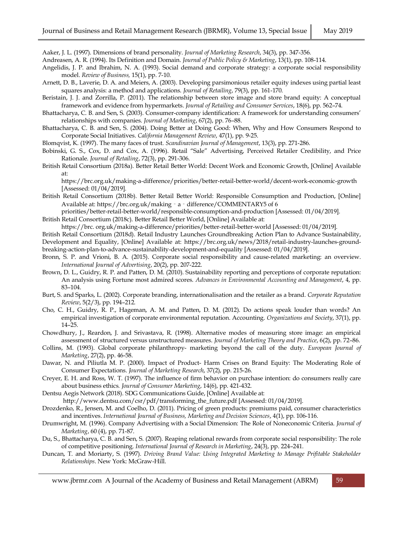Aaker, J. L. (1997). Dimensions of brand personality. *Journal of Marketing Research*, 34(3), pp. 347-356.

- Andreasen, A. R. (1994). Its Definition and Domain. *Journal of Public Policy & Marketing*, 13(1), pp. 108-114.
- Angelidis, J. P. and Ibrahim, N. A. (1993). Social demand and corporate strategy: a corporate social responsibility model. *Review of Business,* 15(1), pp. 7-10.
- Arnett, D. B., Laverie, D. A. and Meiers, A. (2003). Developing parsimonious retailer equity indexes using partial least squares analysis: a method and applications. *Journal of Retailing*, 79(3), pp. 161-170.
- Beristain, J. J. and Zorrilla, P. (2011). The relationship between store image and store brand equity: A conceptual framework and evidence from hypermarkets. *Journal of Retailing and Consumer Services*, 18(6), pp. 562–74.
- Bhattacharya, C. B. and Sen, S. (2003). Consumer-company identification: A framework for understanding consumers' relationships with companies. *Journal of Marketing*, 67(2), pp. 76–88.
- Bhattacharya, C. B. and Sen, S. (2004). Doing Better at Doing Good: When, Why and How Consumers Respond to Corporate Social Initiatives. *California Management Review*, 47(1), pp. 9-25.

Blomqvist, K. (1997). The many faces of trust. *Scandinavian Journal of Management*, 13(3), pp. 271-286.

- Bobinski, G. S., Cox, D. and Cox, A. (1996). Retail "Sale" Advertising, Perceived Retailer Credibility, and Price Rationale. *Journal of Retailing*, 72(3), pp. 291-306.
- British Retail Consortium (2018a). Better Retail Better World: Decent Work and Economic Growth, [Online] Available at:

https://brc.org.uk/making-a-difference/priorities/better-retail-better-world/decent-work-economic-growth [Assessed: 01/04/2019].

- British Retail Consortium (2018b). Better Retail Better World: Responsible Consumption and Production, [Online] Available at: https://brc.org.uk/making‐a‐[difference/COMMENTARY5 of 6](https://brc.org.uk/making‐a‐difference/COMMENTARY5%20of%206)
- priorities/better-retail-better-world/responsible-consumption-and-production [Assessed: 01/04/2019]. British Retail Consortium (2018c). Better Retail Better World, [Online] Available at:

https://brc. org.uk/making‐a‐difference/priorities/better‐retail‐better‐world [Assessed: 01/04/2019].

- British Retail Consortium (2018d). Retail Industry Launches Groundbreaking Action Plan to Advance Sustainability, Development and Equality, [Online] Available at: https://brc.org.uk/news/2018/retail-industry-launches-groundbreaking‐action‐plan‐to‐advance‐sustainability‐development‐and‐equality [Assessed: 01/04/2019].
- Bronn, S. P. and Vrioni, B. A. (2015). Corporate social responsibility and cause-related marketing: an overview. *International Journal of Advertising*, 20(2), pp. 207-222.
- Brown, D. L., Guidry, R. P. and Patten, D. M. (2010). Sustainability reporting and perceptions of corporate reputation: An analysis using Fortune most admired scores. *Advances in Environmental Accounting and Management*, 4, pp. 83–104.
- Burt, S. and Sparks, L. (2002). Corporate branding, internationalisation and the retailer as a brand. *Corporate Reputation Review*, 5(2/3), pp. 194–212.
- Cho, C. H., Guidry, R. P., Hageman, A. M. and Patten, D. M. (2012). Do actions speak louder than words? An empirical investigation of corporate environmental reputation. Accounting. *Organizations and Society*, 37(1), pp. 14–25.
- Chowdhury, J., Reardon, J. and Srivastava, R. (1998). Alternative modes of measuring store image: an empirical assessment of structured versus unstructured measures. *Journal of Marketing Theory and Practice*, 6(2), pp. 72–86.
- Collins, M. (1993). Global corporate philanthropy- marketing beyond the call of the duty. *European Journal of Marketing*, 27(2), pp. 46-58.
- Dawar, N. and Piliutla M. P. (2000). Impact of Product- Harm Crises on Brand Equity: The Moderating Role of Consumer Expectations. *Journal of Marketing Research*, 37(2), pp. 215-26.
- Creyer, E. H. and Ross, W. T. (1997). The influence of firm behavior on purchase intention: do consumers really care about business ethics*. Journal of Consumer Marketing*, 14(6), pp. 421-432.
- Dentsu Aegis Network (2018). SDG Communications Guide, [Online] Available at:

http://www.dentsu.com/csr/pdf/transforming\_the\_future.pdf [Assessed: 01/04/2019].

- Drozdenko, R., Jensen, M. and Coelho, D. (2011). Pricing of green products: premiums paid, consumer characteristics and incentives. *International Journal of Business, Marketing and Decision Sciences*, 4(1), pp. 106-116.
- Drumwright, M. (1996). Company Advertising with a Social Dimension: The Role of Noneconomic Criteria. *Journal of Marketing*, 60 (4), pp. 71-87.
- Du, S., Bhattacharya, C. B. and Sen, S. (2007). Reaping relational rewards from corporate social responsibility: The role of competitive positioning. *International Journal of Research in Marketing*, 24(3), pp. 224–241.
- Duncan, T. and Moriarty, S. (1997). *Driving Brand Value: Using Integrated Marketing to Manage Prifitable Stakeholder Relationships*. New York: McGraw-Hill.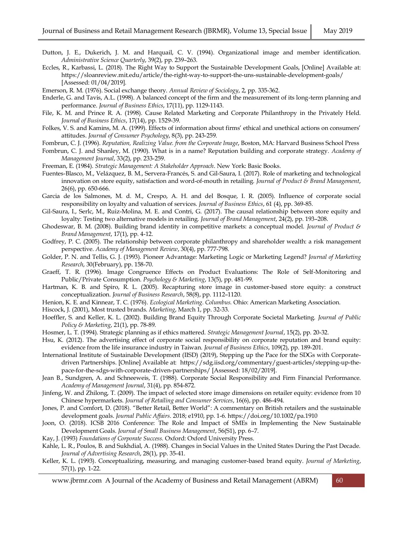- Dutton, J. E., Dukerich, J. M. and Harquail, C. V. (1994). Organizational image and member identification. *Administrative Science Quarterly*, 39(2), pp. 239–263.
- Eccles, R., Karbassi, L. (2018). The Right Way to Support the Sustainable Development Goals, [Online] Available at: https://sloanreview.mit.edu/article/the-right-way-to-support-the-uns-sustainable-development-goals/ [Assessed: 01/04/2019].

Emerson, R. M. (1976). Social exchange theory. *Annual Review of Sociology*, 2, pp. 335-362.

- Enderle, G. and Tavis, A.L. (1998). A balanced concept of the firm and the measurement of its long-term planning and performance. *Journal of Business Ethics*, 17(11), pp. 1129-1143.
- File, K. M. and Prince R. A. (1998). Cause Related Marketing and Corporate Philanthropy in the Privately Held. *Journal of Business Ethics*, 17(14), pp. 1529-39.
- Folkes, V. S. and Kamins, M. A. (1999). Effects of information about firms' ethical and unethical actions on consumers' attitudes. *Journal of Consumer Psychology*, 8(3), pp. 243-259.
- Fombrun, C. J. (1996). *Reputation, Realizing Value. from the Corporate Image*, Boston, MA: Harvard Business School Press
- Fombrun, C. J. and Shanley, M. (1990). What is in a name? Reputation building and corporate strategy. *Academy of Management Journal*, 33(2), pp. 233-259.
- Freeman, E. (1984). *Strategic Management: A Stakeholder Approach*. New York: Basic Books.
- Fuentes-Blasco, M., Velázquez, B. M., Servera-Francés, S. and Gil-Saura, I. (2017). Role of marketing and technological innovation on store equity, satisfaction and word-of-mouth in retailing. *Journal of Product & Brand Management*, 26(6), pp. 650-666.
- Garcia de los Salmones, M. d. M., Crespo, A. H. and del Bosque, I. R. (2005). Influence of corporate social responsibility on loyalty and valuation of services. *Journal of Business Ethics*, 61 (4), pp. 369-85.
- Gil-Saura, I., Serlc, M., Ruiz-Molina, M. E. and Contri, G. (2017). The causal relationship between store equity and loyalty: Testing two alternative models in retailing. *Journal of Brand Management*, 24(2), pp. 193–208.
- Ghodeswar, B. M. (2008). Building brand identity in competitive markets: a conceptual model. *Journal of Product & Brand Management*, 17(1), pp. 4-12.
- Godfrey, P. C. (2005). The relationship between corporate philanthropy and shareholder wealth: a risk management perspective. *Academy of Management Review*, 30(4), pp. 777-798.
- Golder, P. N. and Tellis, G. J. (1993). Pioneer Advantage: Marketing Logic or Marketing Legend? *Journal of Marketing Research*, 30(February), pp. 158-70.
- Graeff, T. R. (1996). Image Congruence Effects on Product Evaluations: The Role of Self-Monitoring and Public/Private Consumption. *Psychology & Marketing*, 13(5), pp. 481-99.
- Hartman, K. B. and Spiro, R. L. (2005). Recapturing store image in customer-based store equity: a construct conceptualization. *Journal of Business Research*, 58(8), pp. 1112–1120.
- Henion, K. E. and Kinnear, T. C. (1976). *Ecological Marketing. Columbus.* Ohio: American Marketing Association.
- Hiscock, J. (2001), Most trusted brands. *Marketing*, March 1, pp. 32-33.
- Hoeffler, S. and Keller, K. L. (2002). Building Brand Equity Through Corporate Societal Marketing. *Journal of Public Policy & Marketing*, 21(1), pp. 78-89.
- Hosmer, L. T. (1994). Strategic planning as if ethics mattered. *Strategic Management Journal*, 15(2), pp. 20-32.
- Hsu, K. (2012). The advertising effect of corporate social responsibility on corporate reputation and brand equity: evidence from the life insurance industry in Taiwan. *Journal of Business Ethics*, 109(2), pp. 189-201.
- International Institute of Sustainable Development (IISD) (2019), Stepping up the Pace for the SDGs with Corporatedriven Partnerships. [Online] Available at: [https://sdg.iisd.org/commentary/guest-articles/stepping-up-the](https://sdg.iisd.org/commentary/guest-articles/stepping-up-the-pace-for-the-sdgs-with-corporate-driven-partnerships/)[pace-for-the-sdgs-with-corporate-driven-partnerships/](https://sdg.iisd.org/commentary/guest-articles/stepping-up-the-pace-for-the-sdgs-with-corporate-driven-partnerships/) [Assessed: 18/02/2019].
- Jean B., Sundgren, A. and Schneeweis, T. (1988). Corporate Social Responsibility and Firm Financial Performance. *Academy of Management Journal*, 31(4), pp. 854-872.
- Jinfeng, W. and Zhilong, T. (2009). The impact of selected store image dimensions on retailer equity: evidence from 10 Chinese hypermarkets. *Journal of Retailing and Consumer Services*, 16(6), pp. 486-494.
- Jones, P. and Comfort, D. (2018). "Better Retail, Better World": A commentary on British retailers and the sustainable development goals. *Journal Public Affairs*. 2018; e1910, pp. 1-6. https://doi.org/10.1002/pa.1910
- Joon, O. (2018). ICSB 2016 Conference: The Role and Impact of SMEs in Implementing the New Sustainable Development Goals. *Journal of Small Business Management*, 56(S1), pp. 6–7.
- Kay, J. (1993) *Foundations of Corporate Success.* Oxford: Oxford University Press.
- Kahle, L. R., Poulos, B. and Sukhdial, A. (1988). Changes in Social Values in the United States During the Past Decade. *Journal of Advertising Research*, 28(1), pp. 35-41.
- Keller, K. L. (1993). Conceptualizing, measuring, and managing customer-based brand equity. *Journal of Marketing*, 57(1), pp. 1-22.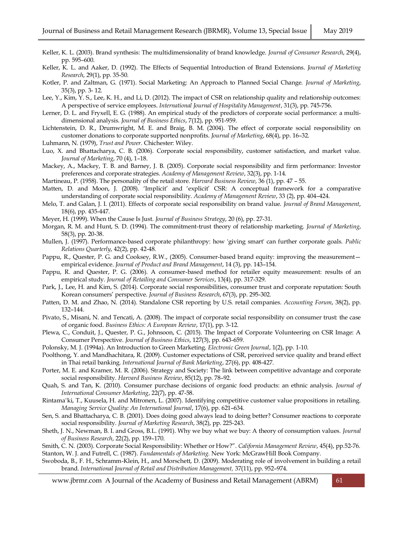- Keller, K. L. (2003). Brand synthesis: The multidimensionality of brand knowledge. *Journal of Consumer Research*, 29(4), pp. 595–600.
- Keller, K. L. and Aaker, D. (1992). The Effects of Sequential Introduction of Brand Extensions. *Journal of Marketing Research*, 29(1), pp. 35-50.
- Kotler, P. and Zaltman, G. (1971). Social Marketing: An Approach to Planned Social Change. *Journal of Marketing*, 35(3), pp. 3- 12.
- Lee, Y., Kim, Y. S., Lee, K. H., and Li, D. (2012). The impact of CSR on relationship quality and relationship outcomes: A perspective of service employees. *International Journal of Hospitality Management*, 31(3), pp. 745-756.
- Lerner, D. L. and Fryxell, E. G. (1988). An empirical study of the predictors of corporate social performance: a multidimensional analysis. *Journal of Business Ethics*, 7(12), pp. 951-959.
- Lichtenstein, D. R., Drumwright, M. E. and Braig, B. M. (2004). The effect of corporate social responsibility on customer donations to corporate supported nonprofits. *Journal of Marketing*, 68(4), pp. 16–32.
- Luhmann, N. (1979), *Trust and Power.* Chichester: Wiley.
- Luo, X. and Bhattacharya, C. B. (2006). Corporate social responsibility, customer satisfaction, and market value. *Journal of Marketing*, 70 (4), 1–18.
- Mackey, A., Mackey, T. B. and Barney, J. B. (2005). Corporate social responsibility and firm performance: Investor preferences and corporate strategies. *Academy of Management Review*, 32(3), pp. 1-14.
- Martineau, P. (1958). The personality of the retail store. *Harvard Business Review*, 36 (1), pp. 47 55.
- Matten, D. and Moon, J. (2008). 'Implicit' and 'explicit' CSR: A conceptual framework for a comparative understanding of corporate social responsibility. *Academy of Management Review*, 33 (2), pp. 404–424.
- Melo, T. and Galan, J. I. (2011). Effects of corporate social responsibility on brand value. *Journal of Brand Management*, 18(6), pp. 435-447.
- Meyer, H. (1999). When the Cause Is Just. *Journal of Business Strategy*, 20 (6), pp. 27-31.
- Morgan, R. M. and Hunt, S. D. (1994). The commitment-trust theory of relationship marketing. *Journal of Marketing*, 58(3), pp. 20-38.
- Mullen, J. (1997). Performance-based corporate philanthropy: how 'giving smart' can further corporate goals. *Public Relations Quarterly*, 42(2), pp. 42-48.
- Pappu, R., Quester, P. G. and Cooksey, R.W., (2005). Consumer-based brand equity: improving the measurement empirical evidence. *Journal of Product and Brand Management*, 14 (3), pp. 143–154.
- Pappu, R. and Quester, P. G. (2006). A consumer-based method for retailer equity measurement: results of an empirical study. *Journal of Retailing and Consumer Services*, 13(4), pp. 317-329.
- Park, J., Lee, H. and Kim, S. (2014). Corporate social responsibilities, consumer trust and corporate reputation: South Korean consumers' perspective. *Journal of Business Research*, 67(3), pp. 295-302.
- Patten, D. M. and Zhao, N. (2014). Standalone CSR reporting by U.S. retail companies. *Accounting Forum*, 38(2), pp. 132–144.
- Pivato, S., Misani, N. and Tencati, A. (2008). The impact of corporate social responsibility on consumer trust: the case of organic food. *Business Ethics: A European Review*, 17(1), pp. 3-12.
- Plewa, C., Conduit, J., Quester, P. G., Johnsoon, C. (2015). The Impact of Corporate Volunteering on CSR Image: A Consumer Perspective. *Journal of Business Ethics*, 127(3), pp. 643-659.
- Polonsky, M. J. (1994a). An Introduction to Green Marketing. *Electronic Green Journal*, 1(2), pp. 1-10.
- Poolthong, Y. and Mandhachitara, R. (2009). Customer expectations of CSR, perceived service quality and brand effect in Thai retail banking. *International Journal of Bank Marketing*, 27(6), pp. 408-427.
- Porter, M. E. and Kramer, M. R. (2006). Strategy and Society: The link between competitive advantage and corporate social responsibility. *Harvard Business Review*, 85(12), pp. 78–92.
- Quah, S. and Tan, K. (2010). Consumer purchase decisions of organic food products: an ethnic analysis. *Journal of International Consumer Marketing*, 22(7), pp. 47-58.
- Rintama¨ki, T., Kuusela, H. and Mitronen, L. (2007). Identifying competitive customer value propositions in retailing. *Managing Service Quality: An International Journal*, 17(6), pp. 621–634.
- Sen, S. and Bhattacharya, C. B. (2001). Does doing good always lead to doing better? Consumer reactions to corporate social responsibility. *Journal of Marketing Research*, 38(2), pp. 225-243.
- Sheth, J. N., Newman, B. I. and Gross, B.L. (1991). Why we buy what we buy: A theory of consumption values. *Journal of Business Research*, 22(2), pp. 159–170.
- Smith, C. N. (2003). Corporate Social Responsibility: Whether or How?". *California Management Review*, 45(4), pp.52-76. Stanton, W. J. and Futrell, C. (1987). *Fundamentals of Marketing.* New York: McGrawHill Book Company.
- Swoboda, B., F. H., Schramm-Klein, H., and Morschett, D. (2009). Moderating role of involvement in building a retail brand. *International Journal of Retail and Distribution Management,* 37(11), pp. 952–974.